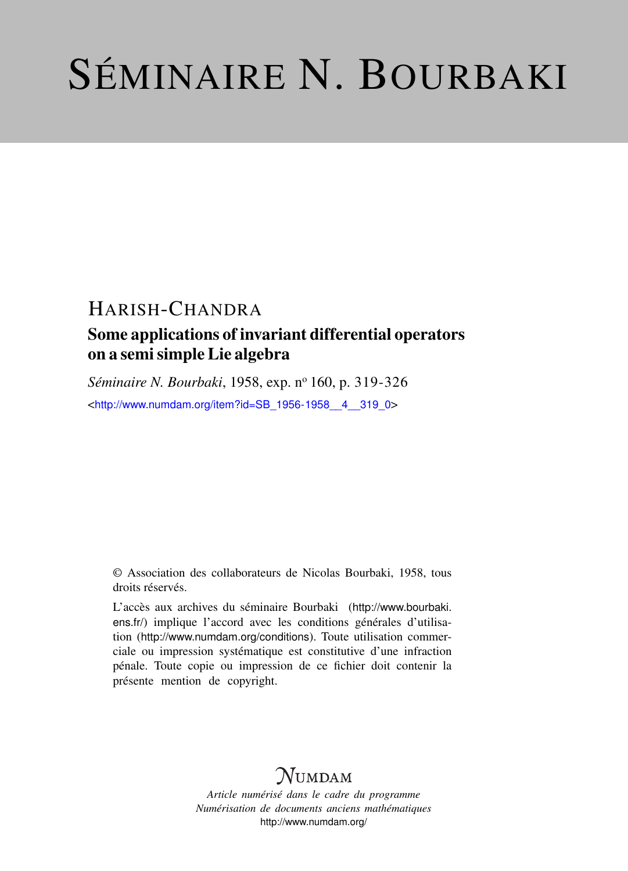# SÉMINAIRE N. BOURBAKI

## HARISH-CHANDRA

### Some applications of invariant differential operators on a semi simple Lie algebra

*Séminaire N. Bourbaki*, 1958, exp. nº 160, p. 319-326

<[http://www.numdam.org/item?id=SB\\_1956-1958\\_\\_4\\_\\_319\\_0](http://www.numdam.org/item?id=SB_1956-1958__4__319_0)>

© Association des collaborateurs de Nicolas Bourbaki, 1958, tous droits réservés.

L'accès aux archives du séminaire Bourbaki ([http://www.bourbaki.](http://www.bourbaki.ens.fr/) [ens.fr/](http://www.bourbaki.ens.fr/)) implique l'accord avec les conditions générales d'utilisation (<http://www.numdam.org/conditions>). Toute utilisation commerciale ou impression systématique est constitutive d'une infraction pénale. Toute copie ou impression de ce fichier doit contenir la présente mention de copyright.

## **NUMDAM**

*Article numérisé dans le cadre du programme Numérisation de documents anciens mathématiques* <http://www.numdam.org/>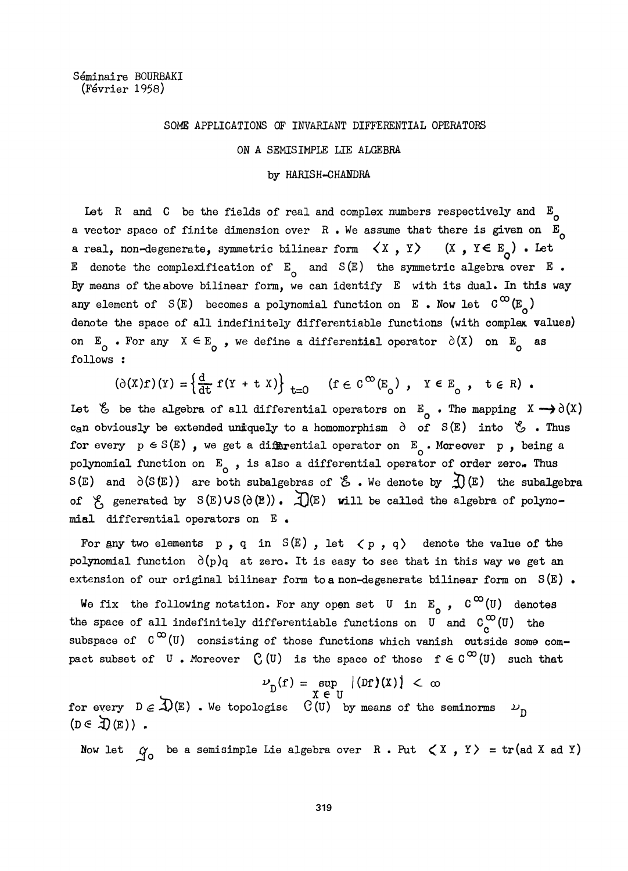#### SOME APPLICATIONS OF INVARIANT DIFFERENTIAL OPERATORS

#### ON A SEMIS IMPLE LIE ALGEBRA

#### by HARISH-CHANDRA

Let R and C be the fields of real and complex numbers respectively and  $E_{\alpha}$ a vector space of finite dimension over  $R$ . We assume that there is given on  $E_{\alpha}$ a real, non-degenerate, symmetric bilinear form  $\langle X, Y \rangle$  (X,  $Y \in E_{0}$ ). Let E denote the complexification of  $E_0$  and  $S(E)$  the symmetric algebra over E. By means of the above bilinear form, we can identify  $E$  with its dual. In this way any element of  $S(E)$  becomes a polynomial function on E. Now let  $C^{\infty}(E)$ denote the space of all indefinitely differentiable functions (with complex values) on  $E_0$ . For any  $X \in E_0$ , we define a differential operator  $\partial(X)$  on  $E_0$  as follows :

$$
(\partial(\mathbf{X})\mathbf{f})(\mathbf{Y}) = \left\{ \frac{\mathrm{d}}{\mathrm{d}\mathbf{t}} \mathbf{f}(\mathbf{Y} + \mathbf{t} \mathbf{X}) \right\}_{\mathbf{t} = 0} \quad (\mathbf{f} \in \mathbf{C}^{\infty}(\mathbf{E}_{\mathbf{0}}), \mathbf{Y} \in \mathbf{E}_{\mathbf{0}}, \mathbf{t} \in \mathbf{R}).
$$

Let  $\&$  be the algebra of all differential operators on  $E_{0}$ . The mapping  $X \rightarrow \partial(X)$ can obviously be extended uniquely to a homomorphism  $\partial$  of S(E) into  $\mathscr{E}$  . Thus for every  $p \in S(E)$ , we get a differential operator on  $E_0$ . Moreover p, being a polynomial function on  $E_0$ , is also a differential operator of order zero. Thus  $S(E)$  and  $\partial(S(E))$  are both subalgebras of  $\mathscr E$ . We denote by  $\mathfrak D(E)$  the subalgebra of  $\ell$ , generated by  $S(E)US(\partial(E))$ .  $\mathcal{L}(E)$  will be called the algebra of polynomial differential operators on E .

For any two elements p, q in  $S(E)$ , let  $\langle p, q \rangle$  denote the value of the polynomial function  $\partial(p)q$  at zero. It is easy to see that in this way we get an extension of our original bilinear form to a non-degenerate bilinear form on  $S(E)$ .

We fix the following notation. For any open set U in  $E_n$ ,  $C^{\infty}(U)$  denotes the space of all indefinitely differentiable functions on U and  $C_{\alpha}^{\infty}(U)$  the subspace of  $C^{00}(U)$  consisting of those functions which vanish outside some compact subset of U. Moreover  $C(U)$  is the space of those  $f \in C^{\infty}(U)$  such that

$$
\nu_{\text{D}}(\mathbf{f}) = \sup_{\mathbf{X} \in \mathcal{H}} |(\text{D}\mathbf{f})(\mathbf{X})| < \infty
$$

for every  $D \in \overline{\mathcal{D}}(E)$ . We topologise  $C(U)$  by means of the seminorms  $L_D$ <br>( $D \in \overline{\mathcal{D}}(E)$ ).

Now let  $\gamma_o$  be a semisimple Lie algebra over R. Put  $\langle X, Y \rangle = \text{tr}(\text{ad }X \text{ ad }Y)$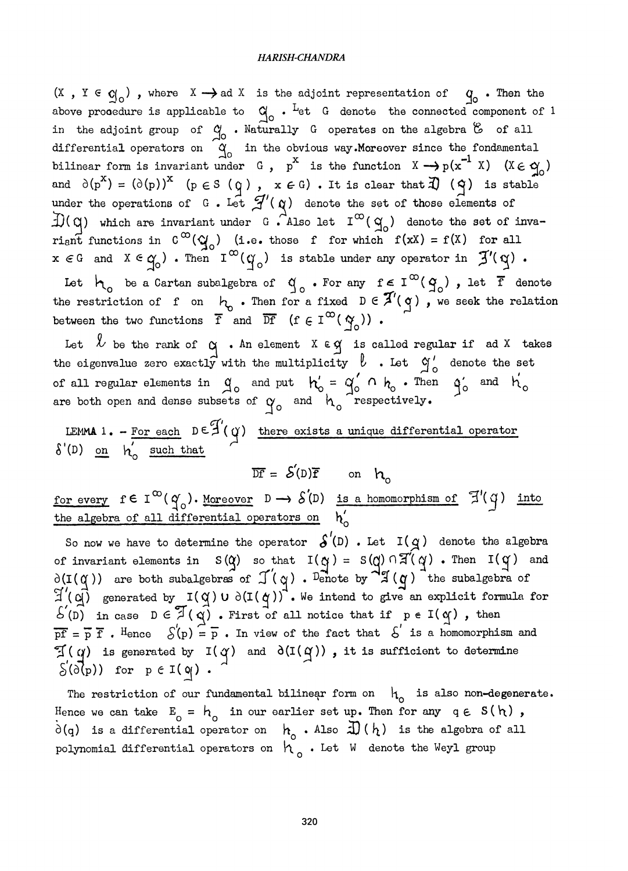$(X$  ,  $Y \in Q_{\circ})$  , where  $X \rightarrow$  ad  $X$  is the adjoint representation of  $\qquad Q_{\circ}$  . Then the above prooedure is applicable to  $\alpha$  . Let G denote the connected component of 1 in the adjoint group of  $\alpha_{\text{O}}^{\text{O}}$  . Naturally G operates on the algebra  $\infty$  of all differential operators on  $\begin{array}{cc} \alpha & \text{in the obvious way.} \ x & \text{for } \alpha \neq 0 \end{array}$ bilinear form is invariant under G,  $p^x$  is the function  $X \rightarrow p(x^{-1} X)$   $(X \in \mathfrak{A}_0)$  $= (\partial(p))^{\infty}$  (p  $\in S$  (q),  $x \in G$ ). It is clear that  $\mathcal{A}$ ) (q) is stable under the operations of G. Let  $\mathcal{J}'(\alpha)$  denote the set of those elements of  $\exists$ )( $\alpha$ ) which are invariant under G. Also let  $I^{\infty}(\alpha_0)$  denote the set of invariant functions in  $C^{\infty}(y)$  (i.e. those f for which  $f(xx) = f(X)$  for all  $x \in G$  and  $X \in G_0$ ). Then  $I^{\infty}(\gamma_0)$  is stable under any operator in  $\mathfrak{Z}'(\gamma)$ .

Let  $\mathcal{H}_{\text{o}}$  be a Cartan subalgebra of  $\mathcal{G}_{\text{o}}$  . For any  $f \in \text{I}^{\infty}(\mathcal{G}_{\text{o}})$  , let f denote the restriction of f on  $\begin{bmatrix} \cdot & \cdot & \cdot \\ \cdot & \cdot & \cdot \\ \cdot & \cdot & \cdot \end{bmatrix}$  a fixed  $D \in \mathcal{A}(\mathcal{A})$ , we seek the relation between the two functions  $\overline{f}$  and  $\overline{Df}$   $(f \in I^{\infty}(\gamma))$ .

Let  $\ell$  be the rank of  $\alpha$  . An element  $X \in \alpha$  is called regular if ad X takes<br>the eigenvalue zero exactly with the multiplicity  $\ell$  . Let  $\alpha'$  denote the set<br>of all regular elements in  $\alpha'$  and put  $\alpha' = \alpha'$   $\alpha'$  of all regular elements in  $a_0$  and put  $h'_0 = a'_0 \cap h_0$ . Then  $a'_0$  and  $h'_0$  and  $h'_0$  respectively.

LEMMA 1. - For each  $D \in \mathcal{J}'(q)$  there exists a unique differential operator  $\delta'(D)$  on  $h'_{\circ}$  such that

 $\overline{DF} = S(D)\overline{f}$  on  $h_0$ 

for every  $f \in I^{\infty}(q_0)$ . Moreover  $D \to \mathcal{S}(D)$  is a homomorphism of  $\mathbb{F}(q)$  into the algebra of all differential operators on  $h'$ 

So now we have to determine the operator  $\delta'(\mathbf{D})$ . Let  $I(q)$  denote the algebra of invariant elements in  $S(Q)$  so that  $I(q) = S(Q) \cap \mathbb{E}(q)$ . Then  $I(q)$  and  $\mathbb{E}(q)$  . Then  $I(q)$  and  $\mathbb{E}(q)$  . Then  $\mathbb{E}(q)$  is the subpliment of  $\partial(\mathbf{I}(\alpha))$  are both subalgebras of  $\mathcal{J}(\alpha)$ . Penote by  $\mathcal{A}(\alpha)$  the subalgebra of  $\mathcal{J}'(\alpha)$  $\mathbb{E}((q)$  generated by  $I(q) \cup \partial(I(q))$  . We intend to give an explicit formula for  $S'(D)$  in case  $D \in \mathbb{Z}(\mathfrak{q})$ . First of all notice that if  $p \in I(\mathfrak{q})$ , then  $\overline{pf} = \overline{p} \overline{f}$ . Hence  $S(p) = \overline{p}$ . In view of the fact that  $S'$  is a homomorphism and  $\mathcal{I}(q)$  is generated by  $I(q)$  and  $\delta(I(q))$ , it is sufficient to determine  $\zeta'(\partial \{\mathbf{p})\}$  for  $p \in I(\mathbf{q})$ .

The restriction of our fundamental bilinear form on  $h_0$  is also non-degenerate. Hence we can take  $E_0 = h_0$  in our earlier set up. Then for any  $q \in S(h)$ ,  $\partial(q)$  is a differential operator on  $h_0$ . Also  $\overline{\mathcal{D}}(h)$  is the algebra of all polynomial differential operators on  $h_{\alpha}$ . Let W denote the Weyl group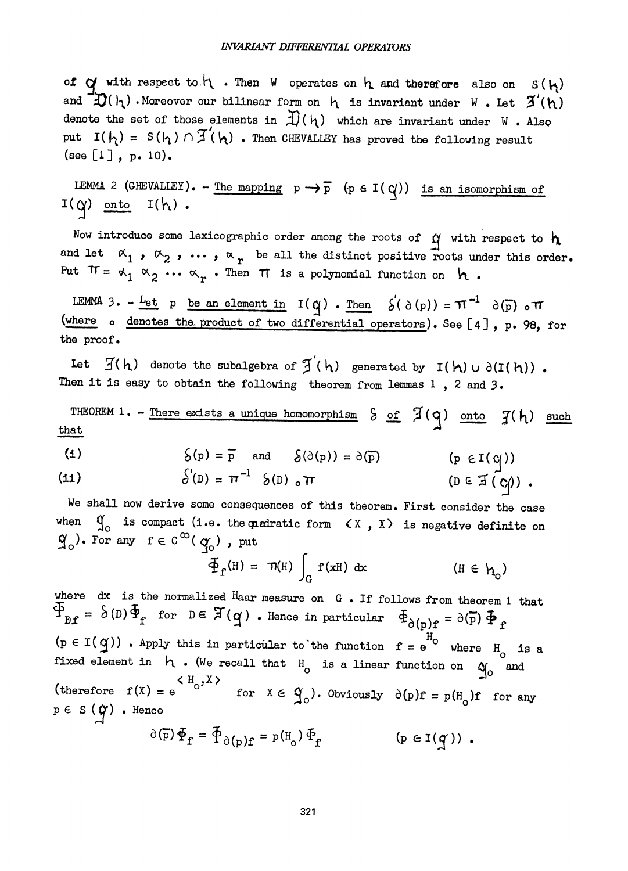of  $\alpha$  with respect to  $\eta$ . Then W operates on  $\eta$  and therefore also on  $S(\eta)$ and  $\mathcal{D}(\mathfrak{h})$ . Moreover our bilinear form on  $\mathfrak{h}$  is invariant under W. Let  $\mathcal{I}'(\mathfrak{h})$ denote the set of those elements in  $\mathcal{A}(h)$  which are invariant under W. Also put  $I(h) = S(h) \cap \mathcal{I}(h)$ . Then CHEVALLEY has proved the following result (see [1] , p. 10).

LEMMA 2 (GHEVALLEY). - The mapping  $p \rightarrow \overline{p}$  (pel( $q$ )) is an isomorphism of  $I(q)$  onto  $I(h)$ .

Now introduce some lexicographic order among the roots of  $\gamma$  with respect to  $h$ and let  $\alpha_1$ ,  $\alpha_2$ , ...,  $\alpha_r$  be all the distinct positive roots under this order. Put  $\pi = \kappa_1 \times_2 \cdots \times_r$ . Then  $\pi$  is a polynomial function on  $\kappa$ .

LEMMA 3. - Let p be an element in  $I(q)$ . Then  $S'(\partial(p)) = \pi^{-1} \partial(p)$  other (where  $\circ$  denotes the product of two differential operators). See [4], p. 98, for the proof.

Let  $\mathcal{I}(h)$  denote the subalgebra of  $\mathcal{I}'(h)$  generated by  $I(h) \cup \partial(I(h))$ . Then it is easy to obtain the following theorem from lemmas  $1$ ,  $2$  and  $3$ .

THEOREM 1. - There exists a unique homomorphism  $S$  of  $\mathcal{I}(q)$  onto  $\mathcal{I}(h)$  such that

(1) 
$$
\delta(p) = \overline{p}
$$
 and  $\delta(\delta(p)) = \delta(\overline{p})$  (p  $\epsilon I(q)$ )

(11) 
$$
\delta'(D) = \pi^{-1} \delta(D) \text{ or } \Gamma
$$
 (D \in \mathfrak{I}(\mathcal{C})) .

We shall now derive some consequences of this theorem. First consider the case when  $Q_{\text{o}}$  is compact (i.e. the quadratic form  $\langle X, X \rangle$  is negative definite on  $\widetilde{q}_0$ ). For any  $f \in C^\infty(q_0)$ , put

$$
\Phi_{\mathbf{f}}(\mathbf{H}) = \pi(\mathbf{H}) \int_{\mathbf{G}} \mathbf{f}(\mathbf{x} \mathbf{H}) \, \mathrm{d}\mathbf{x} \qquad (\mathbf{H} \in \mathbf{h}_{0})
$$

where dx is the normalized Haar measure on G. If follows from theorem 1 that  $\Phi_{\partial(r)} = \delta(p) \Phi_r$  for  $D \in \mathfrak{X}(q)$ . Hence in particular  $\Phi_{\partial(p)f} = \partial(p) \Phi_r$  $(p \in I(q))$  . Apply this in particular to the function  $f = e^{H_0}$  where  $H_0$  is a fixed element in  $h \cdot$  (We recall that  $H_0$  is a linear function on  $\alpha_0$  and therefore  $f(X) = e$  (therefore  $f(X) = e$  obviously  $\partial(p) f = p(H) f$  ). for  $X \in \mathfrak{A}_0$ ). Obviously  $\partial(p)f = p(H_0)f$  for any  $p \in S$  ( $\hat{q}$ ). Hence<br>  $\partial(\bar{p}) \Phi_f = \Phi_{\partial(p)f} = p(H_0) \Phi_f$  $(p \in I(q))$ .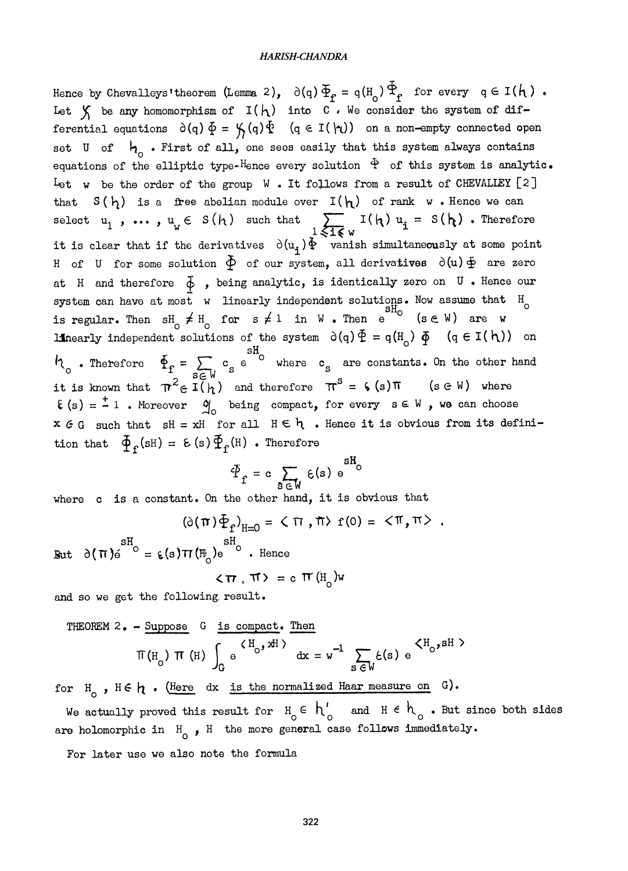Hence by Chevalleys' theorem (Lemma 2),  $\partial(q) \Phi_{\rho} = q(H_{0}) \Phi_{\rho}$  for every  $q \in I(h)$ . Let  $\chi$  be any homomorphism of  $I(h)$  into  $C$ , We consider the system of differential equations  $\partial(q) \Phi = \mathcal{G}(q) \Phi$   $(q \in I(\nmid q))$  on a non-empty connected open set U of  $h_{\rho}$ . First of all, one sees easily that this system always contains equations of the elliptic type-Hence every solution  $\Phi$  of this system is analytic. Let w be the order of the group W. It follows from a result of CHEVALLEY  $[2]$ that  $S(h)$  is a free abelian module over  $I(h)$  of rank w. Hence we can select  $u_1$ , ...,  $u_w \in S(h)$  such that  $\sum_{1 \leqslant i \leqslant w} I(h) u_i = S(h)$ . Therefore it is clear that if the derivatives  $\partial(u_i)\Phi$  vanish simultaneously at some point H of U for some solution  $\Phi$  of our system, all derivatives  $\partial(u)\Phi$  are zero at H and therefore  $\overline{\phi}$  , being analytic, is identically zero on U. Hence our system can have at most  $w$  linearly independent solutions. Now assume that  $H_c$ is regular. Then  $\mathop{\mathrm{sh}}\nolimits_\cap \neq \mathop{\mathrm{H}}\nolimits_\cap$  for  $\mathop{\mathrm{s}}\nolimits \neq 1$  in W . Then e  $\hspace{0.1 cm}$  (see W) are w  $\mathsf{C}$ linearly independent solutions of the system  $\partial(q)\Phi = q(H_0) \Phi$  (q  $\in I(h)$ ) on  $h_{\text{o}}$ . Therefore  $\Phi_{\text{f}} = \sum_{s \in \mathbb{N}} c_s e^{sH_{\text{o}}}$  where  $c_s$  are constants. On the other hand it is known that  $\pi^2 \in \mathbb{I}(\mathfrak{h})$  and therefore  $\pi^S = \zeta(s) \pi$  (sew) where  $E(s) = \frac{1}{s} 1$ . Moreover  $\mathfrak{A}_{\Omega}$  being compact, for every  $s \in W$ , we can choose  $x \in G$  such that  $sH = xH$  for all  $H \in \mathfrak{h}$  . Hence it is obvious from its definition that  $\Phi_{\epsilon}$ (sH) =  $\epsilon$  (s)  $\Phi_{\epsilon}$ (H) . Therefore

$$
\Phi_{\mathbf{f}} = \mathbf{c} \sum_{\mathbf{S} \in \mathbf{W}} \mathbf{E}(\mathbf{s}) \mathbf{e}^{\mathbf{S} \mathbf{H}_{\mathbf{O}}}
$$

where c is a constant. On the other hand, it is obvious that

$$
(\partial(\pi)\Phi_{\mathbf{f}})_{\mathbf{H}=\mathbf{0}} = \langle \pi, \pi \rangle \mathbf{f}(0) = \langle \pi, \pi \rangle
$$

But  $\partial(\pi)_{0}^{sH} = \varepsilon(s) \pi(\mathbb{H}_{0}) e^{sH}$ . Hence

$$
\langle \pi, \pi \rangle = c \pi (H_0) w
$$

and so we get the following result.

THEOREM 2. - Suppose G is compact. Then  
\n
$$
\pi(H_0) \pi(H) \int_G e^{H_0 H} dx = w^{-1} \sum_{s \in W} \xi(s) e^{\langle H_0, sH \rangle}
$$

for  $H_0$ ,  $H \in \mathfrak{h}$ . (Here dx is the normalized Haar measure on G).

We actually proved this result for  $H_0 \n\in \hbar_0'$  and  $H \n\in \hbar_0$ . But since both sides are holomorphic in  $H_{0}$ , H the more general case follows immediately.

For later use ve also note the formula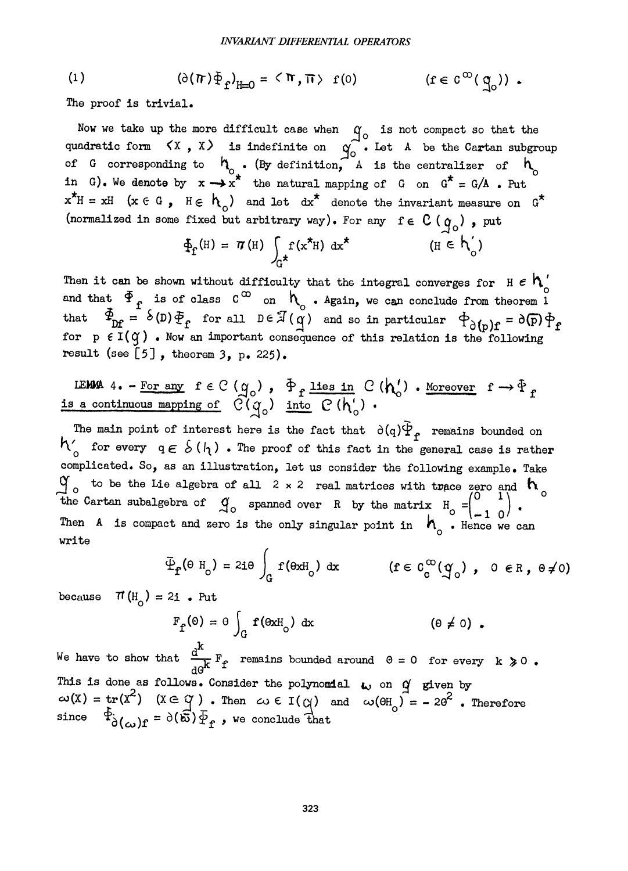(1) 
$$
(\partial(\pi)\Phi_{f})_{H=0} = \langle \pi, \pi \rangle \text{ f}(0) \qquad \qquad (f \in C^{\infty}(\mathfrak{A}_{0}))
$$

The proof is trivial.

Now we take up the more difficult case when  $\gamma$  is not compact so that the compact so that the compact so that the compact so that the compact so that the compact so that the compact so that the compact so that the compa quadratic form  $\{X, X\}$  is indefinite on  $\alpha$  . Let A be the Cartan subgroup of G corresponding to  $n_{0}$ . (By definition, A is the centralizer of  $n_{c}$ in G). We denote by  $x \rightarrow x^*$  the natural mapping of G on  $G^* = G/A$ . Put  $x^*H = xH$  ( $x \in G$ ,  $H \in h_0$ ) and let  $dx^*$  denote the invariant measure on  $G^*$ (normalized in some fixed but arbitrary way). For any  $f \in C(q_0)$ , put

$$
\Phi_{f}(H) = \pi(H) \int_{G^{\star}} f(x^*H) dx^* \qquad (\text{H} \in \mathcal{h}'_0)
$$

Then it can be shown without difficulty that the integral converges for H  $\epsilon$  h<sub>6</sub> and that  $\Phi$ <sub>f</sub> is of class  $c^{\infty}$  on  $h_o$ . Again, we can conclude from theorem i that  $\Phi_{\text{DF}} = \delta(D)\Phi_{\text{f}}$  for all  $D \in \mathcal{I}(q)$  and so in particular  $\Phi_{\text{o}}(p)\mathbf{f} =$ for  $p \in I(\mathcal{G})$  . Now an important consequence of this relation is the following result (see  $[5]$ , theorem 3, p. 225).

LEMMA 4. - For any 
$$
f \in C(q_0)
$$
,  $\Phi_f$  lies in  $C(h'_0)$ . Moreover  $f \to \Phi_f$  is a continuous mapping of  $C(q_0)$  into  $C(h'_0)$ .

The main point of interest here is the fact that  $\partial(q)\Psi_{\bf f}$  remains bounded on  $h'_{0}$  for every  $q \in \mathcal{S}(h)$  . The proof of this fact in the general case is rather complicated. So, as an illustration, let us consider the following example. Take  $\alpha$  to be the Lie algebra of all 2 x 2 real matrices with trace zero and  $\alpha$ the Cartan subalgebra of  $q_{o}$  spanned over R by the matrix  $H_{o} = \begin{pmatrix} 0 & 1 \\ -1 & 0 \end{pmatrix}$ . o ,.::Jo ° ~- l 0~ Then A is compact and zero is the only singular point in  $h_{0}$ . Hence we can write

$$
\tilde{\Psi}_{\mathbf{f}}(\Theta \mathrm{H}_{\mathrm{o}}) = 2\mathbf{i}\Theta \int_{\mathrm{G}} \mathrm{f}(\Theta \mathrm{xH}_{\mathrm{o}}) \mathrm{dx} \qquad (\mathrm{f} \in C_{\mathrm{c}}^{\infty}(\mathfrak{A}_{\mathrm{o}}) , \ \ 0 \in \mathrm{R}, \ \Theta \neq 0)
$$

because  $\pi$ (H<sub>0</sub>) = 2i. Put

$$
F_{\mathbf{f}}(\Theta) = \Theta \int_{\mathbf{G}} \mathbf{f}(\Theta \mathbf{x} \mathbf{H}_{\mathbf{O}}) \, \mathrm{d}\mathbf{x} \tag{0 \neq 0}.
$$

We have to show that  $\frac{d^4}{d\theta^k} F_f$  remains bounded around  $\theta = 0$  for every k  $\ge 0$ .<br>This is done as follows. Consider the polynomial  $\omega$  on  $\alpha$  given by This is done as follows. Consider the polynomial  $\omega$  on  $\alpha$  given by  $\omega(X) = \text{tr}(X^2)$   $(X \in \alpha)$ . Then  $\omega \in I(\alpha)$  and  $\omega(\theta H_0) = -20^2$ . Therefore since  $\Phi^{\text{S}}_{\text{O}(\omega)}(f) = \partial(\vec{\omega}) \Phi_f$ , we conclude that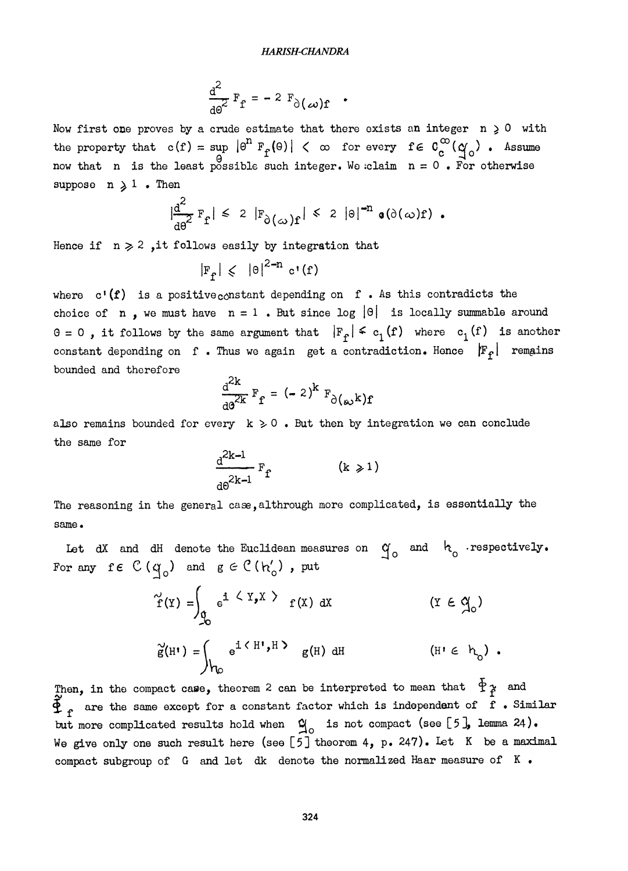$$
\frac{d^2}{d\omega^2} F_f = -2 F_{\partial(\omega)} f
$$

Now first one proves by a crude estimate that there exists an integer  $n \geq 0$  with the property that  $c(f) = \sup_{\mathbf{F}} |\theta^{\mathbf{n}}| \mathbb{F}_{f}(\theta) | < \infty$  for every  $f \in C_{c}^{\infty}(\mathcal{A}_{0})$ . Assume now that n is the least possible such integer. We claim  $n = 0$ . For otherwise suppose  $n \geqslant 1$  . Then

$$
\left|\frac{d^2}{d\theta^2} F_f\right| \leq 2 \left|F_{\partial(\omega)} f\right| \leq 2 \left|\theta\right|^{-n} \mathfrak{g}(\partial(\omega) f).
$$

Hence if  $n \geq 2$ , it follows easily by integration that

$$
|F_{\mathbf{f}}| \leqslant | \Theta |^{2-n} \, \mathbf{c}^{\mathbf{1}}(\mathbf{f})
$$

where  $c'(\mathbf{f})$  is a positive constant depending on f. As this contradicts the choice of n, we must have  $n = 1$ . But since log  $|\theta|$  is locally summable around  $0 = 0$ , it follows by the same argument that  $|F_{\rho}| \leq c_1(f)$  where  $c_1(f)$  is another constant depending on f. Thus we again get a contradiction. Hence  $|F_{\varphi}|$  remains bounded and therefore

$$
\frac{d^{2k}}{d^{2k}} F_f = (-2)^k F_{\partial(\omega)} k f
$$

also remains bounded for every  $k \geq 0$ . But then by integration we can conclude the same for

$$
\frac{d^{2k-1}}{d\theta^{2k-1}} F_f \qquad (k \geqslant 1)
$$

The reasoning in the general case, althrough more complicated, is essentially the same.

Let dX and dH denote the Euclidean measures on  $q_0$  and  $h_0$  respectively. For any fe  $C(q_0)$  and  $g \in C(h'_0)$ , put

$$
\tilde{f}(Y) = \int_{\mathfrak{G}} e^{i \langle Y, X \rangle} f(X) dx \qquad (Y \in \mathfrak{A}_{0})
$$
  

$$
\tilde{g}(H') = \int_{\mathfrak{h}_{0}} e^{i \langle H', H \rangle} g(H) dH \qquad (H' \in \mathfrak{h}_{0})
$$

Then, in the compact case, theorem 2 can be interpreted to mean that  $\phi$  and  $\Phi_{f}$  are the same except for a constant factor which is independent of  $\dot{f}$  . Similar but more complicated results hold when  $\alpha$  is not compact (see [5], lemma 24). We give only one such result here (see [5] theorem 4, p. 247). Let K be a maximal compact subgroup of G and let dk denote the normalized Haar measure of K .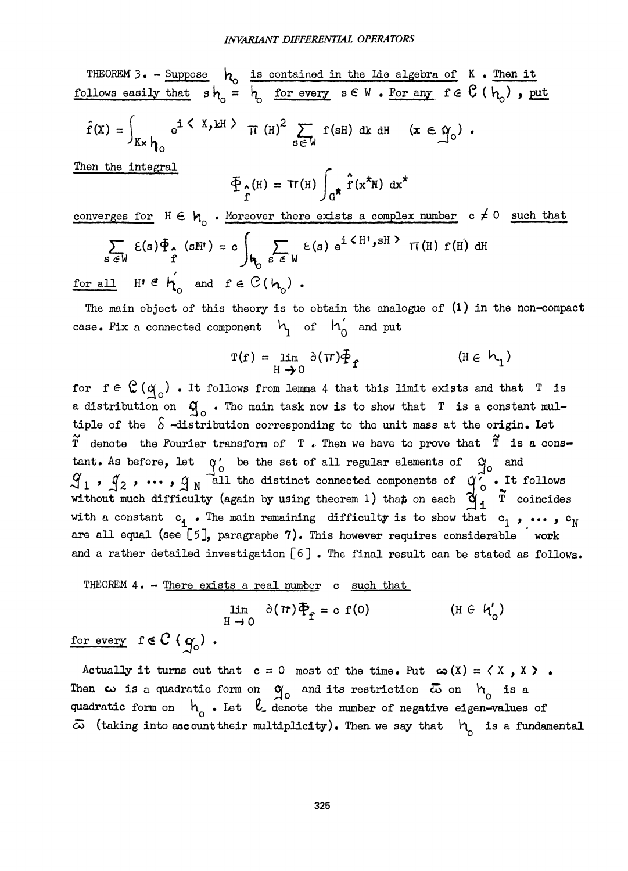THEOREM 3. - Suppose  $h_o$  is contained in the Lie algebra of K. Then it follows easily that  $sh_o = ~ h_o$  for every  $s \in W$  . For any  $f \in U (~h_o)$  , put  $\hat{f}(x) = \int_{K \times h_0} e^{i \langle X, kH \rangle} \pi (H)^2 \sum_{s \in W} f(sH) ds dH \quad (x \in \mathcal{Y}_0)$ .

Then the integral

$$
\oint_{\hat{\mathbf{r}}} (H) = \mathbf{Tr}(H) \int_{\hat{\mathbf{G}}} \hat{\mathbf{r}} (\mathbf{x}^{\star} H) \, \mathrm{d} \mathbf{x}^{\star}
$$

converges for  $H \in H_0$ . Moreover there exists a complex number c  $\neq 0$  such that  $\sum_{s \in W} \varepsilon(s) \Phi_{\hat{r}}(sH^{\dagger}) = c \int_{\mathbf{h}_{\hat{r}}}\sum_{s \in W} \varepsilon(s) e^{i \langle H^{\dagger}, sH^{\hat{r}} \rangle} \pi(H) f(H) dH$ for all  $H' \in h'$  and  $f \in C(h_0)$ .

The main object of this theory is to obtain the analogue of  $(1)$  in the non-compact case. Fix a connected component  $~\mu_{1}$  of  $~\mu_{0}^{'}$  and put

$$
\Gamma(f) = \lim_{H \to 0} \partial(\pi) \Phi_f \qquad (\text{If } \in \mathcal{h}_1)
$$

for  $f \in \mathbb{C}(\alpha)$ . It follows from lemma 4 that this limit exists and that T is a distribution on  $q_{0}$ . The main task now is to show that T is a constant multiple of the  $\delta$  -distribution corresponding to the unit mass at the origin. Let  $\widetilde{T}$  denote the Fourier transform of  $T$ . Then we have to prove that  $\widetilde{T}$  is a constant. As before, let  $q'_{0}$  be the set of all regular elements of  $q'_{0}$  and  $\mathcal{L}_1$  ,  $\mathcal{L}_2$  ,  $\cdots$  ,  $\mathcal{L}_N$  all the distinct connected components of  $\mathcal{L}_0$  . It follows without much difficulty (again by using theorem 1) that on each  $\frac{\alpha}{1}$  . T coincides with a constant  $c_i$ . The main remaining difficulty is to show that  $c_1$ , ...,  $c_N$ are all equal (see  $\lceil 5 \rceil$ , paragraphe 7). This however requires considerable work and a rather detailed investigation [6] . The final result can be stated as follows.

THEOREM 4. - There exists a real number c such that

$$
\lim_{H \to 0} \partial(\pi) \overline{\Phi}_{f} = c f(0) \qquad (\text{If } \partial h'_{0})
$$

for every  $f \in C \{ q_0 \}$ .

Actually it turns out that  $c = 0$  most of the time. Put  $\infty(X) = \langle X, X \rangle$ . Then  $\omega$  is a quadratic form on  $q_0$  and its restriction  $\bar{\omega}$  on  $h_0$  is a quadratic form on  $h_a$  . Let  $l_a$  denote the number of negative eigen-values of  $\bar{\omega}$  (taking into account their multiplicity). Then we say that  $h_a$  is a fundamental